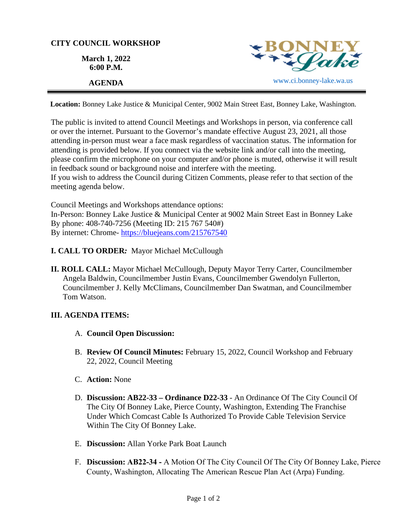

**Location:** Bonney Lake Justice & Municipal Center, 9002 Main Street East, Bonney Lake, Washington.

The public is invited to attend Council Meetings and Workshops in person, via conference call or over the internet. Pursuant to the Governor's mandate effective August 23, 2021, all those attending in-person must wear a face mask regardless of vaccination status. The information for attending is provided below. If you connect via the website link and/or call into the meeting, please confirm the microphone on your computer and/or phone is muted, otherwise it will result in feedback sound or background noise and interfere with the meeting.

If you wish to address the Council during Citizen Comments, please refer to that section of the meeting agenda below.

Council Meetings and Workshops attendance options: In-Person: Bonney Lake Justice & Municipal Center at 9002 Main Street East in Bonney Lake By phone: 408-740-7256 (Meeting ID: 215 767 540#) By internet: Chrome- [https://bluejeans.com/215767540](https://bluejeans.com/215767540?src=calendarLink&flow=joinmeeting)

- **I. CALL TO ORDER***:* Mayor Michael McCullough
- **II. ROLL CALL:** Mayor Michael McCullough, Deputy Mayor Terry Carter, Councilmember Angela Baldwin, Councilmember Justin Evans, Councilmember Gwendolyn Fullerton, Councilmember J. Kelly McClimans, Councilmember Dan Swatman, and Councilmember Tom Watson.

## **III. AGENDA ITEMS:**

- A. **Council Open Discussion:**
- B. **Review Of Council Minutes:** February 15, 2022, Council Workshop and February 22, 2022, Council Meeting
- C. **Action:** None
- D. **Discussion: AB22-33 Ordinance D22-33**  An Ordinance Of The City Council Of The City Of Bonney Lake, Pierce County, Washington, Extending The Franchise Under Which Comcast Cable Is Authorized To Provide Cable Television Service Within The City Of Bonney Lake.
- E. **Discussion:** Allan Yorke Park Boat Launch
- F. **Discussion: AB22-34 -** A Motion Of The City Council Of The City Of Bonney Lake, Pierce County, Washington, Allocating The American Rescue Plan Act (Arpa) Funding.